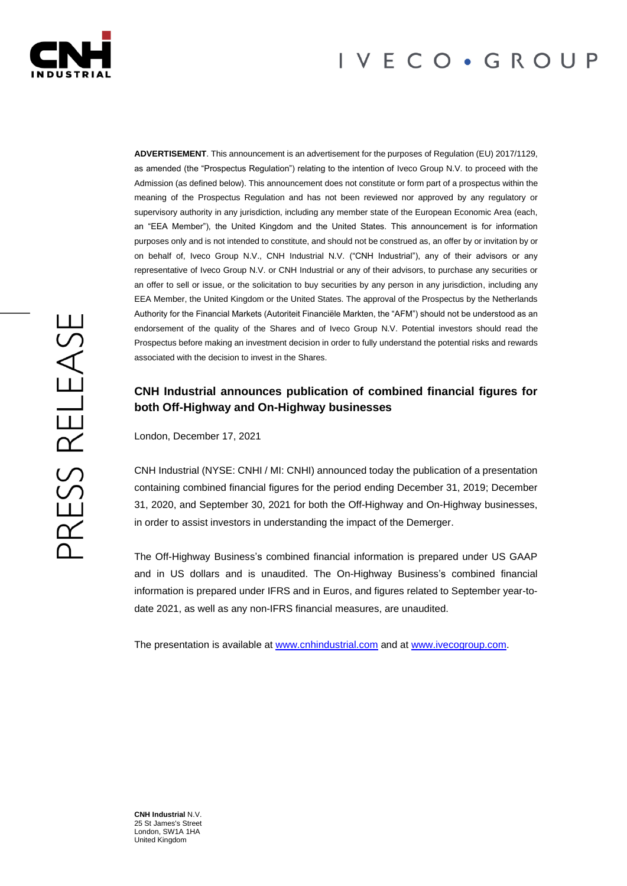

# VECO · GROUP

PRESS RELEASE

**ADVERTISEMENT**. This announcement is an advertisement for the purposes of Regulation (EU) 2017/1129, as amended (the "Prospectus Regulation") relating to the intention of Iveco Group N.V. to proceed with the Admission (as defined below). This announcement does not constitute or form part of a prospectus within the meaning of the Prospectus Regulation and has not been reviewed nor approved by any regulatory or supervisory authority in any jurisdiction, including any member state of the European Economic Area (each, an "EEA Member"), the United Kingdom and the United States. This announcement is for information purposes only and is not intended to constitute, and should not be construed as, an offer by or invitation by or on behalf of, Iveco Group N.V., CNH Industrial N.V. ("CNH Industrial"), any of their advisors or any representative of Iveco Group N.V. or CNH Industrial or any of their advisors, to purchase any securities or an offer to sell or issue, or the solicitation to buy securities by any person in any jurisdiction, including any EEA Member, the United Kingdom or the United States. The approval of the Prospectus by the Netherlands Authority for the Financial Markets (Autoriteit Financiële Markten, the "AFM") should not be understood as an endorsement of the quality of the Shares and of Iveco Group N.V. Potential investors should read the Prospectus before making an investment decision in order to fully understand the potential risks and rewards associated with the decision to invest in the Shares.

### **CNH Industrial announces publication of combined financial figures for both Off-Highway and On-Highway businesses**

London, December 17, 2021

CNH Industrial (NYSE: CNHI / MI: CNHI) announced today the publication of a presentation containing combined financial figures for the period ending December 31, 2019; December 31, 2020, and September 30, 2021 for both the Off-Highway and On-Highway businesses, in order to assist investors in understanding the impact of the Demerger.

The Off-Highway Business's combined financial information is prepared under US GAAP and in US dollars and is unaudited. The On-Highway Business's combined financial information is prepared under IFRS and in Euros, and figures related to September year-todate 2021, as well as any non-IFRS financial measures, are unaudited.

The presentation is available a[t www.cnhindustrial.com](http://www.cnhindustrial.com/) and a[t www.ivecogroup.com.](http://www.ivecogroup.com/)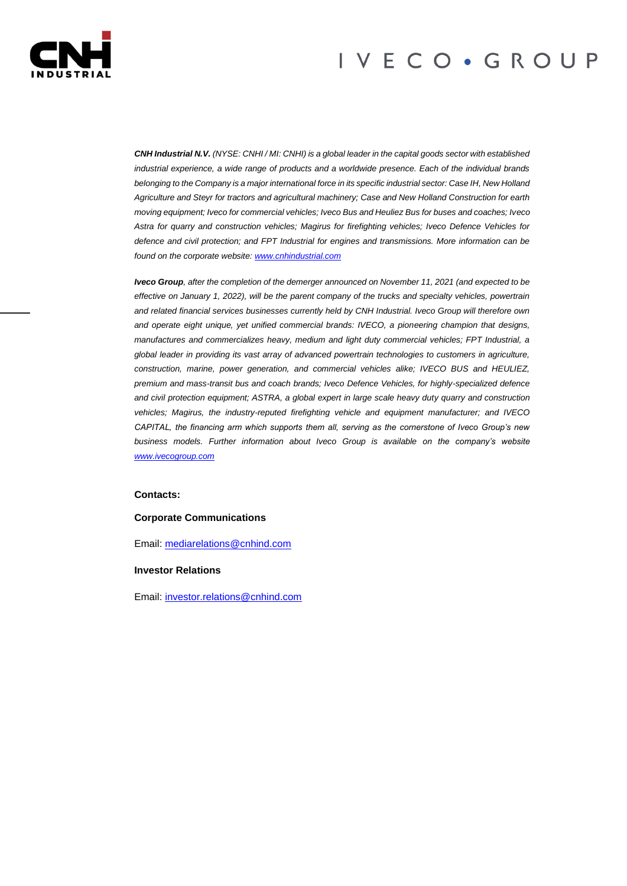

## VECO · GROUP

*CNH Industrial N.V. (NYSE: CNHI / MI: CNHI) is a global leader in the capital goods sector with established industrial experience, a wide range of products and a worldwide presence. Each of the individual brands belonging to the Company is a major international force in its specific industrial sector: Case IH, New Holland Agriculture and Steyr for tractors and agricultural machinery; Case and New Holland Construction for earth moving equipment; Iveco for commercial vehicles; Iveco Bus and Heuliez Bus for buses and coaches; Iveco Astra for quarry and construction vehicles; Magirus for firefighting vehicles; Iveco Defence Vehicles for defence and civil protection; and FPT Industrial for engines and transmissions. More information can be found on the corporate website: [www.cnhindustrial.com](http://www.cnhindustrial.com/)*

*Iveco Group, after the completion of the demerger announced on November 11, 2021 (and expected to be effective on January 1, 2022), will be the parent company of the trucks and specialty vehicles, powertrain and related financial services businesses currently held by CNH Industrial. Iveco Group will therefore own and operate eight unique, yet unified commercial brands: IVECO, a pioneering champion that designs, manufactures and commercializes heavy, medium and light duty commercial vehicles; FPT Industrial, a global leader in providing its vast array of advanced powertrain technologies to customers in agriculture, construction, marine, power generation, and commercial vehicles alike; IVECO BUS and HEULIEZ, premium and mass-transit bus and coach brands; Iveco Defence Vehicles, for highly-specialized defence and civil protection equipment; ASTRA, a global expert in large scale heavy duty quarry and construction vehicles; Magirus, the industry-reputed firefighting vehicle and equipment manufacturer; and IVECO CAPITAL, the financing arm which supports them all, serving as the cornerstone of Iveco Group's new business models. Further information about Iveco Group is available on the company's website [www.ivecogroup.com](http://www.ivecogroup.com/)*

### **Contacts:**

#### **Corporate Communications**

Email[: mediarelations@cnhind.com](mailto:mediarelations@cnhind.com)

#### **Investor Relations**

Email[: investor.relations@cnhind.com](mailto:investor.relations@cnhind.com)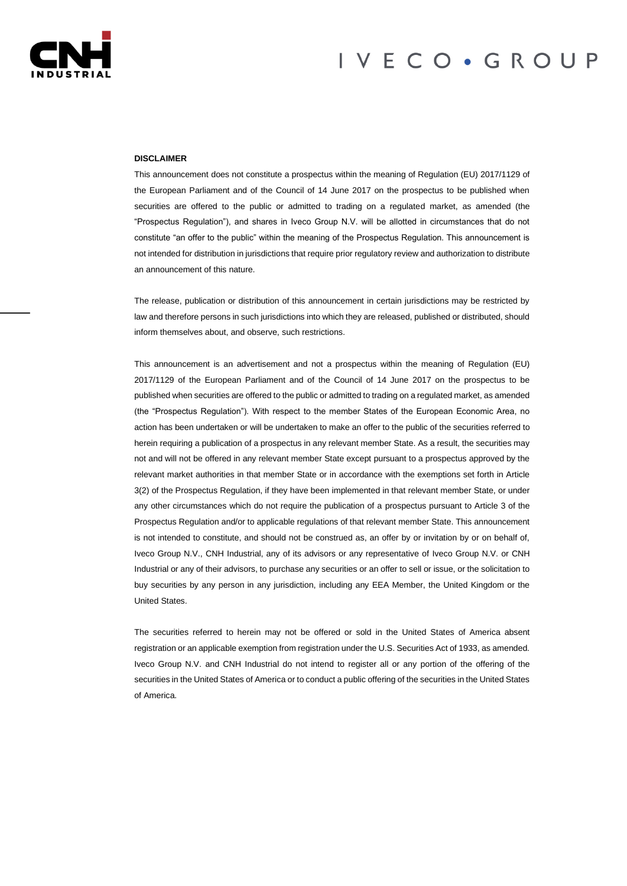

### VECO · GROUP

#### **DISCLAIMER**

This announcement does not constitute a prospectus within the meaning of Regulation (EU) 2017/1129 of the European Parliament and of the Council of 14 June 2017 on the prospectus to be published when securities are offered to the public or admitted to trading on a regulated market, as amended (the "Prospectus Regulation"), and shares in Iveco Group N.V. will be allotted in circumstances that do not constitute "an offer to the public" within the meaning of the Prospectus Regulation. This announcement is not intended for distribution in jurisdictions that require prior regulatory review and authorization to distribute an announcement of this nature.

The release, publication or distribution of this announcement in certain jurisdictions may be restricted by law and therefore persons in such jurisdictions into which they are released, published or distributed, should inform themselves about, and observe, such restrictions.

This announcement is an advertisement and not a prospectus within the meaning of Regulation (EU) 2017/1129 of the European Parliament and of the Council of 14 June 2017 on the prospectus to be published when securities are offered to the public or admitted to trading on a regulated market, as amended (the "Prospectus Regulation"). With respect to the member States of the European Economic Area, no action has been undertaken or will be undertaken to make an offer to the public of the securities referred to herein requiring a publication of a prospectus in any relevant member State. As a result, the securities may not and will not be offered in any relevant member State except pursuant to a prospectus approved by the relevant market authorities in that member State or in accordance with the exemptions set forth in Article 3(2) of the Prospectus Regulation, if they have been implemented in that relevant member State, or under any other circumstances which do not require the publication of a prospectus pursuant to Article 3 of the Prospectus Regulation and/or to applicable regulations of that relevant member State. This announcement is not intended to constitute, and should not be construed as, an offer by or invitation by or on behalf of, Iveco Group N.V., CNH Industrial, any of its advisors or any representative of Iveco Group N.V. or CNH Industrial or any of their advisors, to purchase any securities or an offer to sell or issue, or the solicitation to buy securities by any person in any jurisdiction, including any EEA Member, the United Kingdom or the United States.

The securities referred to herein may not be offered or sold in the United States of America absent registration or an applicable exemption from registration under the U.S. Securities Act of 1933, as amended. Iveco Group N.V. and CNH Industrial do not intend to register all or any portion of the offering of the securities in the United States of America or to conduct a public offering of the securities in the United States of America.